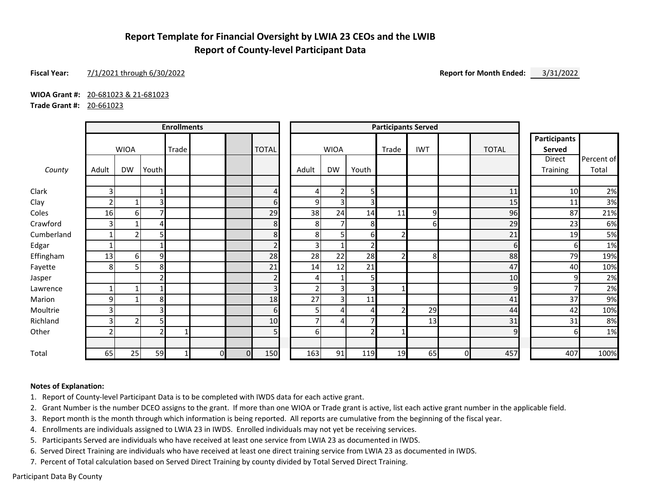## **Report Template for Financial Oversight by LWIA 23 CEOs and the LWIB Report of County-level Participant Data**

### **Fiscal Year:** 7/1/2021 through 6/30/2022 **Report for Month Ended:** 3/31/2022

**WIOA Grant #:** 20-681023 & 21-681023

**Trade Grant #:** 20-661023

|            |       |                |                | <b>Enrollments</b> |                |          |                |                         |                |                |       | <b>Participants Served</b> |                |              |                               |            |
|------------|-------|----------------|----------------|--------------------|----------------|----------|----------------|-------------------------|----------------|----------------|-------|----------------------------|----------------|--------------|-------------------------------|------------|
|            |       | <b>WIOA</b>    |                | Trade              |                |          | <b>TOTAL</b>   |                         | <b>WIOA</b>    |                | Trade | <b>IWT</b>                 |                | <b>TOTAL</b> | <b>Participants</b><br>Served |            |
|            |       |                |                |                    |                |          |                |                         |                |                |       |                            |                |              | Direct                        | Percent of |
| County     | Adult | <b>DW</b>      | Youth          |                    |                |          |                | Adult                   | <b>DW</b>      | Youth          |       |                            |                |              | Training                      | Total      |
| Clark      | 3     |                |                |                    |                |          | 4              | 4                       | $\overline{2}$ | 5              |       |                            |                | 11           | 10                            | 2%         |
| Clay       |       | 1              | 3              |                    |                |          | $6 \mid$       | 9                       | 3              | 3              |       |                            |                | 15           | 11                            | 3%         |
| Coles      | 16    | 6              |                |                    |                |          | 29             | 38                      | 24             | 14             | 11    | 9                          |                | 96           | 87                            | 21%        |
| Crawford   | 3     |                | Δ              |                    |                |          | 8 <sup>1</sup> | 8                       | $\overline{7}$ | 8 <sup>1</sup> |       | ы                          |                | 29           | 23                            | 6%         |
| Cumberland |       | $\overline{2}$ |                |                    |                |          | 8 <sup>1</sup> | 8                       | 5              | 61             |       |                            |                | 21           | 19                            | 5%         |
| Edgar      |       |                |                |                    |                |          | $\overline{2}$ | $\overline{\mathbf{3}}$ |                | 2 <sub>l</sub> |       |                            |                | 6            | 61                            | 1%         |
| Effingham  | 13    | 6              | 9              |                    |                |          | 28             | 28                      | 22             | 28             |       | 8                          |                | 88           | 79                            | 19%        |
| Fayette    | 8     | 5              | 8              |                    |                |          | 21             | 14                      | 12             | 21             |       |                            |                | 47           | 40                            | 10%        |
| Jasper     |       |                | ς              |                    |                |          | $\overline{2}$ | $\overline{4}$          |                | 5              |       |                            |                | 10           | 9                             | 2%         |
| Lawrence   |       | $\mathbf{1}$   |                |                    |                |          | 3 <sup>1</sup> | 2 <sub>1</sub>          | 3              | 3 <sub>l</sub> |       |                            |                | 9            |                               | 2%         |
| Marion     | 9     |                | 8 <sub>l</sub> |                    |                |          | 18             | 27                      | 3              | 11             |       |                            |                | 41           | 37                            | 9%         |
| Moultrie   | 3     |                | 3              |                    |                |          | $6 \mid$       | 5 <sub>1</sub>          | Δ              | 4              |       | 29                         |                | 44           | 42                            | 10%        |
| Richland   |       | $\overline{2}$ |                |                    |                |          | 10             | 7                       | 4              |                |       | 13                         |                | 31           | 31                            | 8%         |
| Other      | ີ     |                | 2              |                    |                |          | 5              | 6                       |                | $\overline{2}$ |       |                            |                | 9            |                               | 1%         |
| Total      | 65    | 25             | 59             |                    | $\overline{0}$ | $\Omega$ | 150            | 163                     | 91             | 119            | 19    | 65                         | $\overline{0}$ | 457          | 407                           | 100%       |

### **Notes of Explanation:**

1. Report of County-level Participant Data is to be completed with IWDS data for each active grant.

2. Grant Number is the number DCEO assigns to the grant. If more than one WIOA or Trade grant is active, list each active grant number in the applicable field.

3. Report month is the month through which information is being reported. All reports are cumulative from the beginning of the fiscal year.

4. Enrollments are individuals assigned to LWIA 23 in IWDS. Enrolled individuals may not yet be receiving services.

5. Participants Served are individuals who have received at least one service from LWIA 23 as documented in IWDS.

6. Served Direct Training are individuals who have received at least one direct training service from LWIA 23 as documented in IWDS.

7. Percent of Total calculation based on Served Direct Training by county divided by Total Served Direct Training.

Participant Data By County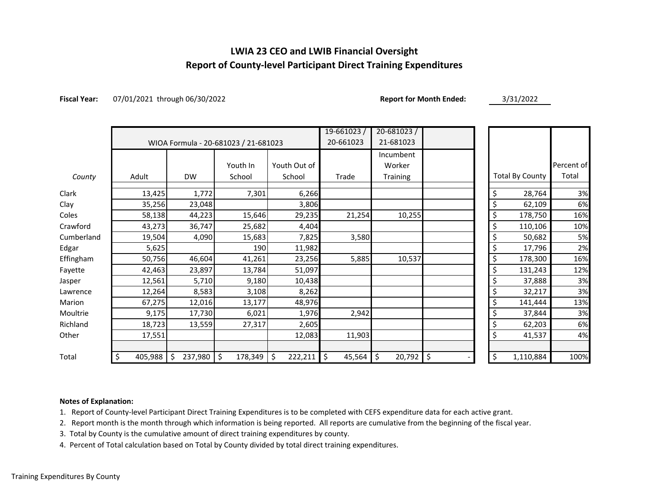## **LWIA 23 CEO and LWIB Financial Oversight Report of County-level Participant Direct Training Expenditures**

**Fiscal Year:** 07/01/2021 through 06/30/2022 **Report for Month Ended:** 3/31/2022

|            |               |                  |                                      |               | $19 - 661023/$ | 20-681023/   |          |                        |            |
|------------|---------------|------------------|--------------------------------------|---------------|----------------|--------------|----------|------------------------|------------|
|            |               |                  | WIOA Formula - 20-681023 / 21-681023 |               | 20-661023      | 21-681023    |          |                        |            |
|            |               |                  |                                      |               |                | Incumbent    |          |                        |            |
|            |               |                  | Youth In                             | Youth Out of  |                | Worker       |          |                        | Percent of |
| County     | Adult         | <b>DW</b>        | School                               | School        | Trade          | Training     |          | <b>Total By County</b> | Total      |
| Clark      | 13,425        | 1,772            | 7,301                                | 6,266         |                |              | \$       | 28,764                 | 3%         |
| Clay       | 35,256        | 23,048           |                                      | 3,806         |                |              |          | 62,109                 | 6%         |
| Coles      | 58,138        | 44,223           | 15,646                               | 29,235        | 21,254         | 10,255       | \$       | 178,750                | 16%        |
| Crawford   | 43,273        | 36,747           | 25,682                               | 4,404         |                |              | \$       | 110,106                | 10%        |
| Cumberland | 19,504        | 4,090            | 15,683                               | 7,825         | 3,580          |              | \$       | 50,682                 | 5%         |
| Edgar      | 5,625         |                  | 190                                  | 11,982        |                |              | \$       | 17,796                 | 2%         |
| Effingham  | 50,756        | 46,604           | 41,261                               | 23,256        | 5,885          | 10,537       | \$       | 178,300                | 16%        |
| Fayette    | 42,463        | 23,897           | 13,784                               | 51,097        |                |              |          | 131,243                | 12%        |
| Jasper     | 12,561        | 5,710            | 9,180                                | 10,438        |                |              |          | 37,888                 | 3%         |
| Lawrence   | 12,264        | 8,583            | 3,108                                | 8,262         |                |              | \$       | 32,217                 | 3%         |
| Marion     | 67,275        | 12,016           | 13,177                               | 48,976        |                |              | \$       | 141,444                | 13%        |
| Moultrie   | 9,175         | 17,730           | 6,021                                | 1,976         | 2,942          |              | \$       | 37,844                 | 3%         |
| Richland   | 18,723        | 13,559           | 27,317                               | 2,605         |                |              |          | 62,203                 | 6%         |
| Other      | 17,551        |                  |                                      | 12,083        | 11,903         |              | \$       | 41,537                 | 4%         |
|            |               |                  |                                      |               |                |              |          |                        |            |
| Total      | \$<br>405,988 | 237,980 \$<br>\$ | 178,349                              | \$<br>222,211 | \$<br>45,564   | \$<br>20,792 | \$<br>\$ | 1,110,884              | 100%       |

#### **Notes of Explanation:**

1. Report of County-level Participant Direct Training Expenditures is to be completed with CEFS expenditure data for each active grant.

2. Report month is the month through which information is being reported. All reports are cumulative from the beginning of the fiscal year.

3. Total by County is the cumulative amount of direct training expenditures by county.

4. Percent of Total calculation based on Total by County divided by total direct training expenditures.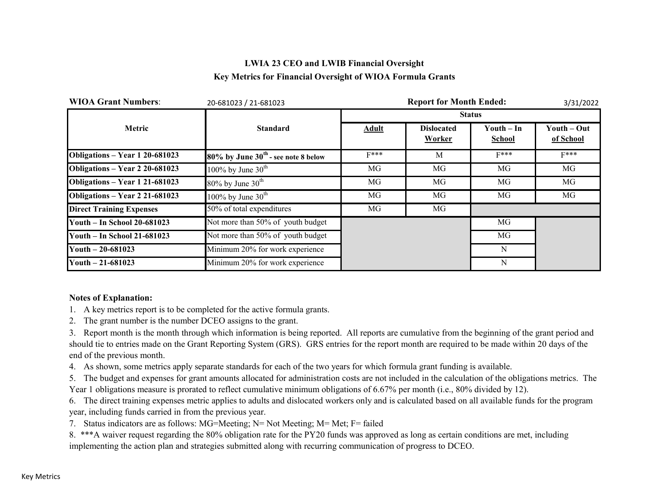## **LWIA 23 CEO and LWIB Financial Oversight Key Metrics for Financial Oversight of WIOA Formula Grants**

| <b>WIOA Grant Numbers:</b>         | 20-681023 / 21-681023                    |              | 3/31/2022                   |                      |                          |
|------------------------------------|------------------------------------------|--------------|-----------------------------|----------------------|--------------------------|
|                                    |                                          |              |                             | <b>Status</b>        |                          |
| Metric                             | <b>Standard</b>                          | <b>Adult</b> | <b>Dislocated</b><br>Worker | Youth – In<br>School | Youth – Out<br>of School |
| Obligations - Year 1 20-681023     | $80\%$ by June $30th$ - see note 8 below | $F***$       | M                           | $F***$               | $F***$                   |
| Obligations - Year 2 20-681023     | 100% by June $30^{\text{th}}$            | MG           | MG                          | MG                   | MG                       |
| Obligations - Year 1 21-681023     | $80\%$ by June $30th$                    | MG           | MG                          | MG                   | MG                       |
| Obligations - Year 2 21-681023     | 100% by June $30^{\text{th}}$            | MG           | MG                          | MG                   | MG                       |
| <b>Direct Training Expenses</b>    | 50% of total expenditures                | MG           | MG                          |                      |                          |
| <b>Youth - In School 20-681023</b> | Not more than 50% of youth budget        |              |                             | MG                   |                          |
| <b>Youth - In School 21-681023</b> | Not more than 50% of youth budget        |              |                             | MG                   |                          |
| Youth $-20-681023$                 | Minimum 20% for work experience          |              |                             | N                    |                          |
| Youth $-21-681023$                 | Minimum 20% for work experience          |              |                             | N                    |                          |

### **Notes of Explanation:**

- 1. A key metrics report is to be completed for the active formula grants.
- 2. The grant number is the number DCEO assigns to the grant.

3. Report month is the month through which information is being reported. All reports are cumulative from the beginning of the grant period and should tie to entries made on the Grant Reporting System (GRS). GRS entries for the report month are required to be made within 20 days of the end of the previous month.

4. As shown, some metrics apply separate standards for each of the two years for which formula grant funding is available.

5. The budget and expenses for grant amounts allocated for administration costs are not included in the calculation of the obligations metrics. The Year 1 obligations measure is prorated to reflect cumulative minimum obligations of 6.67% per month (i.e., 80% divided by 12).

6. The direct training expenses metric applies to adults and dislocated workers only and is calculated based on all available funds for the program year, including funds carried in from the previous year.

7. Status indicators are as follows: MG=Meeting; N= Not Meeting; M= Met; F= failed

8. \*\*\*A waiver request regarding the 80% obligation rate for the PY20 funds was approved as long as certain conditions are met, including implementing the action plan and strategies submitted along with recurring communication of progress to DCEO.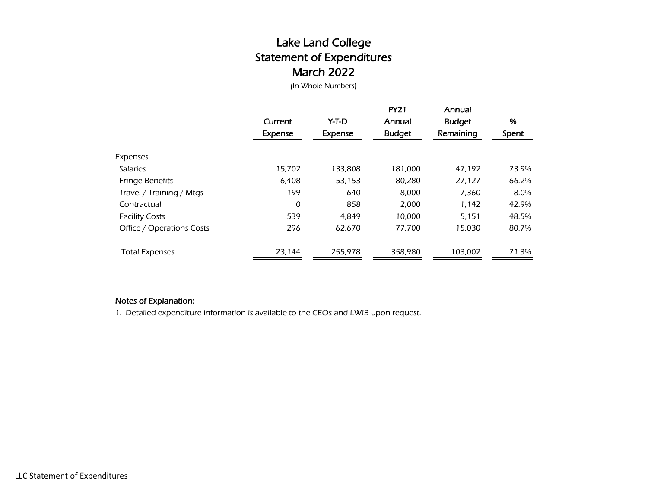# Lake Land College Statement of Expenditures March 2022

(In Whole Numbers)

|                           | Current<br>Expense | Y-T-D<br>Expense | <b>PY21</b><br>Annual<br><b>Budget</b> | Annual<br><b>Budget</b><br>Remaining | %<br>Spent |
|---------------------------|--------------------|------------------|----------------------------------------|--------------------------------------|------------|
| Expenses                  |                    |                  |                                        |                                      |            |
| <b>Salaries</b>           | 15,702             | 133,808          | 181,000                                | 47.192                               | 73.9%      |
| <b>Fringe Benefits</b>    | 6,408              | 53,153           | 80,280                                 | 27,127                               | 66.2%      |
| Travel / Training / Mtgs  | 199                | 640              | 8,000                                  | 7,360                                | 8.0%       |
| Contractual               | 0                  | 858              | 2,000                                  | 1,142                                | 42.9%      |
| <b>Facility Costs</b>     | 539                | 4.849            | 10,000                                 | 5,151                                | 48.5%      |
| Office / Operations Costs | 296                | 62,670           | 77,700                                 | 15,030                               | 80.7%      |
| <b>Total Expenses</b>     | 23,144             | 255.978          | 358.980                                | 103,002                              | 71.3%      |

### Notes of Explanation:

1. Detailed expenditure information is available to the CEOs and LWIB upon request.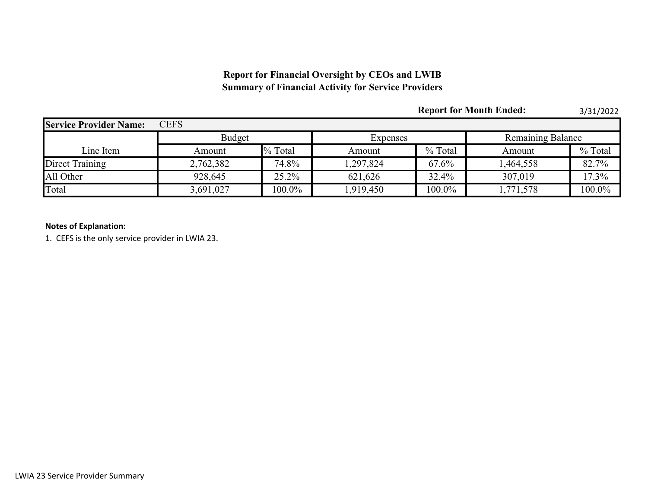## **Report for Financial Oversight by CEOs and LWIB Summary of Financial Activity for Service Providers**

|                               |               |           |           |         | <b>Report for Month Ended:</b> | 3/31/2022 |  |
|-------------------------------|---------------|-----------|-----------|---------|--------------------------------|-----------|--|
| <b>Service Provider Name:</b> | <b>CEFS</b>   |           |           |         |                                |           |  |
|                               | <b>Budget</b> |           | Expenses  |         | <b>Remaining Balance</b>       |           |  |
| Line Item                     | Amount        | % Total   | Amount    | % Total | Amount                         | % Total   |  |
| Direct Training               | 2,762,382     | 74.8%     | 1,297,824 | 67.6%   | 1,464,558                      | 82.7%     |  |
| All Other                     | 928,645       | 25.2%     | 621,626   | 32.4%   | 307,019                        | 17.3%     |  |
| Total                         | 3,691,027     | $100.0\%$ | 1,919,450 | 100.0%  | 1,771,578                      | 100.0%    |  |

### **Notes of Explanation:**

1. CEFS is the only service provider in LWIA 23.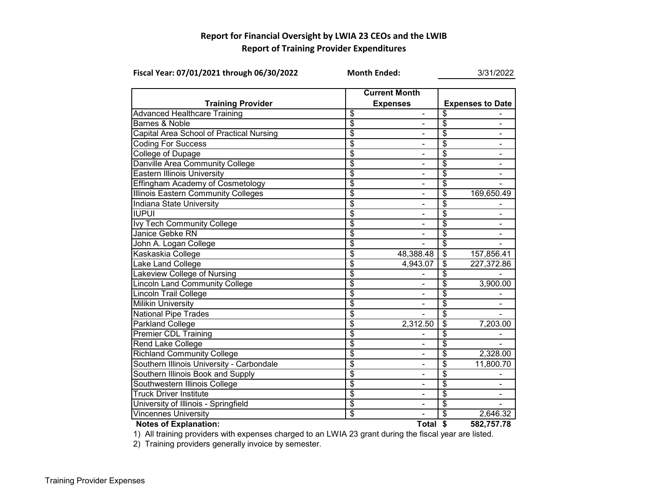## **Report for Financial Oversight by LWIA 23 CEOs and the LWIB Report of Training Provider Expenditures**

| Fiscal Year: 07/01/2021 through 06/30/2022 | <b>Month Ended:</b>      |                              | 3/31/2022                        |                         |  |
|--------------------------------------------|--------------------------|------------------------------|----------------------------------|-------------------------|--|
|                                            |                          | <b>Current Month</b>         |                                  |                         |  |
| <b>Training Provider</b>                   |                          | <b>Expenses</b>              |                                  | <b>Expenses to Date</b> |  |
| <b>Advanced Healthcare Training</b>        | \$                       |                              | \$                               |                         |  |
| <b>Barnes &amp; Noble</b>                  | $\overline{\$}$          |                              | $\overline{\$}$                  |                         |  |
| Capital Area School of Practical Nursing   | \$                       |                              | \$                               |                         |  |
| <b>Coding For Success</b>                  | \$                       |                              | \$                               |                         |  |
| <b>College of Dupage</b>                   | $\overline{\$}$          |                              | $\overline{\$}$                  | $\blacksquare$          |  |
| Danville Area Community College            | \$                       | $\blacksquare$               | \$                               |                         |  |
| <b>Eastern Illinois University</b>         | $\overline{\mathcal{S}}$ | $\qquad \qquad \blacksquare$ | \$                               | -                       |  |
| <b>Effingham Academy of Cosmetology</b>    | $\overline{\$}$          | $\qquad \qquad \blacksquare$ | \$                               |                         |  |
| <b>Illinois Eastern Community Colleges</b> | \$                       | $\qquad \qquad \blacksquare$ | $\overline{\mathcal{S}}$         | 169,650.49              |  |
| Indiana State University                   | \$                       |                              | \$                               |                         |  |
| <b>IUPUI</b>                               | \$                       |                              | \$                               |                         |  |
| Ivy Tech Community College                 | $\overline{\mathcal{S}}$ |                              | \$                               |                         |  |
| Janice Gebke RN                            | \$                       | $\blacksquare$               | \$                               |                         |  |
| John A. Logan College                      | $\overline{\$}$          |                              | $\overline{\$}$                  |                         |  |
| Kaskaskia College                          | \$                       | 48,388.48                    | $\overline{\boldsymbol{\theta}}$ | 157,856.41              |  |
| Lake Land College                          | \$                       | 4,943.07                     | $\overline{\mathcal{S}}$         | 227,372.86              |  |
| Lakeview College of Nursing                | $\overline{\$}$          |                              | $\overline{\$}$                  |                         |  |
| <b>Lincoln Land Community College</b>      | \$                       |                              | \$                               | 3,900.00                |  |
| <b>Lincoln Trail College</b>               | $\overline{\$}$          |                              | \$                               |                         |  |
| <b>Milikin University</b>                  | $\overline{\$}$          |                              | \$                               |                         |  |
| <b>National Pipe Trades</b>                | $\overline{\mathcal{S}}$ |                              | \$                               |                         |  |
| Parkland College                           | $\overline{\mathcal{S}}$ | 2,312.50                     | \$                               | 7,203.00                |  |
| <b>Premier CDL Training</b>                | \$                       |                              | \$                               |                         |  |
| <b>Rend Lake College</b>                   | \$                       | $\blacksquare$               | \$                               |                         |  |
| <b>Richland Community College</b>          | \$                       |                              | \$                               | 2,328.00                |  |
| Southern Illinois University - Carbondale  | $\overline{\$}$          |                              | $\overline{\$}$                  | 11,800.70               |  |
| Southern Illinois Book and Supply          | \$                       |                              | \$                               |                         |  |
| Southwestern Illinois College              | \$                       |                              | \$                               |                         |  |
| <b>Truck Driver Institute</b>              | \$                       |                              | \$                               |                         |  |
| University of Illinois - Springfield       | \$                       |                              | \$                               |                         |  |
| <b>Vincennes University</b>                | \$                       |                              | \$                               | 2,646.32                |  |
| <b>Notes of Explanation:</b>               |                          | Total \$                     |                                  | 582,757.78              |  |

1) All training providers with expenses charged to an LWIA 23 grant during the fiscal year are listed.

2) Training providers generally invoice by semester.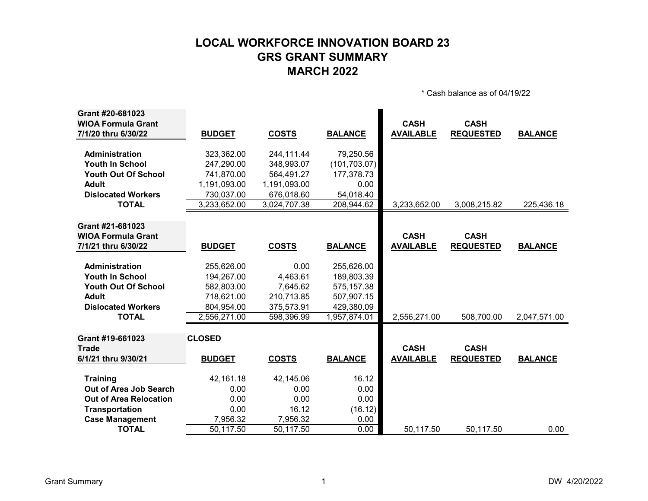# **LOCAL WORKFORCE INNOVATION BOARD 23 GRS GRANT SUMMARY MARCH 2022**

\* Cash balance as of 04/19/22

| Grant #20-681023              |               |              |                |                  |                  |                |
|-------------------------------|---------------|--------------|----------------|------------------|------------------|----------------|
| <b>WIOA Formula Grant</b>     |               |              |                | <b>CASH</b>      | <b>CASH</b>      |                |
| 7/1/20 thru 6/30/22           | <b>BUDGET</b> | <b>COSTS</b> | <b>BALANCE</b> | <b>AVAILABLE</b> | <b>REQUESTED</b> | <b>BALANCE</b> |
|                               |               |              |                |                  |                  |                |
| <b>Administration</b>         | 323,362.00    | 244,111.44   | 79,250.56      |                  |                  |                |
| <b>Youth In School</b>        | 247,290.00    | 348,993.07   | (101, 703.07)  |                  |                  |                |
| <b>Youth Out Of School</b>    | 741,870.00    | 564,491.27   | 177,378.73     |                  |                  |                |
| <b>Adult</b>                  | 1,191,093.00  | 1,191,093.00 | 0.00           |                  |                  |                |
| <b>Dislocated Workers</b>     | 730,037.00    | 676,018.60   | 54,018.40      |                  |                  |                |
| <b>TOTAL</b>                  | 3,233,652.00  | 3,024,707.38 | 208,944.62     | 3,233,652.00     | 3,008,215.82     | 225,436.18     |
|                               |               |              |                |                  |                  |                |
| Grant #21-681023              |               |              |                |                  |                  |                |
| <b>WIOA Formula Grant</b>     |               |              |                | <b>CASH</b>      | <b>CASH</b>      |                |
| 7/1/21 thru 6/30/22           | <b>BUDGET</b> | <b>COSTS</b> | <b>BALANCE</b> | <b>AVAILABLE</b> | <b>REQUESTED</b> | <b>BALANCE</b> |
|                               |               |              |                |                  |                  |                |
| <b>Administration</b>         | 255,626.00    | 0.00         | 255,626.00     |                  |                  |                |
| <b>Youth In School</b>        | 194,267.00    | 4,463.61     | 189,803.39     |                  |                  |                |
| <b>Youth Out Of School</b>    | 582,803.00    | 7,645.62     | 575, 157.38    |                  |                  |                |
| <b>Adult</b>                  | 718,621.00    | 210,713.85   | 507,907.15     |                  |                  |                |
| <b>Dislocated Workers</b>     | 804,954.00    | 375,573.91   | 429,380.09     |                  |                  |                |
| <b>TOTAL</b>                  | 2,556,271.00  | 598,396.99   | 1,957,874.01   | 2,556,271.00     | 508,700.00       | 2,047,571.00   |
|                               |               |              |                |                  |                  |                |
| Grant #19-661023              | <b>CLOSED</b> |              |                |                  |                  |                |
| <b>Trade</b>                  |               |              |                | <b>CASH</b>      | <b>CASH</b>      |                |
| 6/1/21 thru 9/30/21           | <b>BUDGET</b> | <b>COSTS</b> | <b>BALANCE</b> | <b>AVAILABLE</b> | <b>REQUESTED</b> | <b>BALANCE</b> |
| <b>Training</b>               | 42,161.18     | 42,145.06    | 16.12          |                  |                  |                |
| Out of Area Job Search        | 0.00          | 0.00         | 0.00           |                  |                  |                |
| <b>Out of Area Relocation</b> | 0.00          | 0.00         | 0.00           |                  |                  |                |
| Transportation                | 0.00          | 16.12        | (16.12)        |                  |                  |                |
| <b>Case Management</b>        | 7,956.32      | 7,956.32     | 0.00           |                  |                  |                |
| <b>TOTAL</b>                  | 50,117.50     | 50,117.50    | 0.00           | 50,117.50        | 50,117.50        | 0.00           |